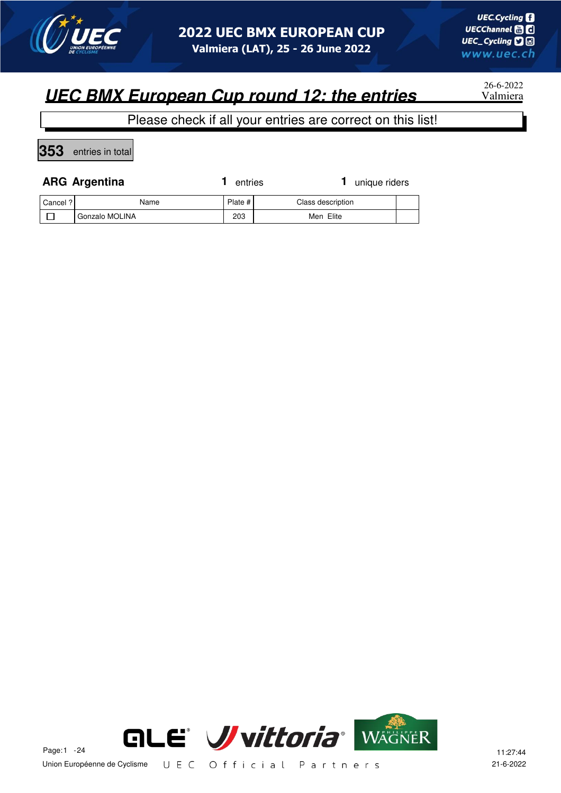

26-6-2022

#### Please check if all your entries are correct on this list!

**353** entries in total

 $\Box$ 

|          | <b>ARG Argentina</b> | entries   | 1 unique riders   |  |
|----------|----------------------|-----------|-------------------|--|
| Cancel ? | Name                 | Plate $#$ | Class description |  |

Gonzalo MOLINA 203 | 203 Men Elite

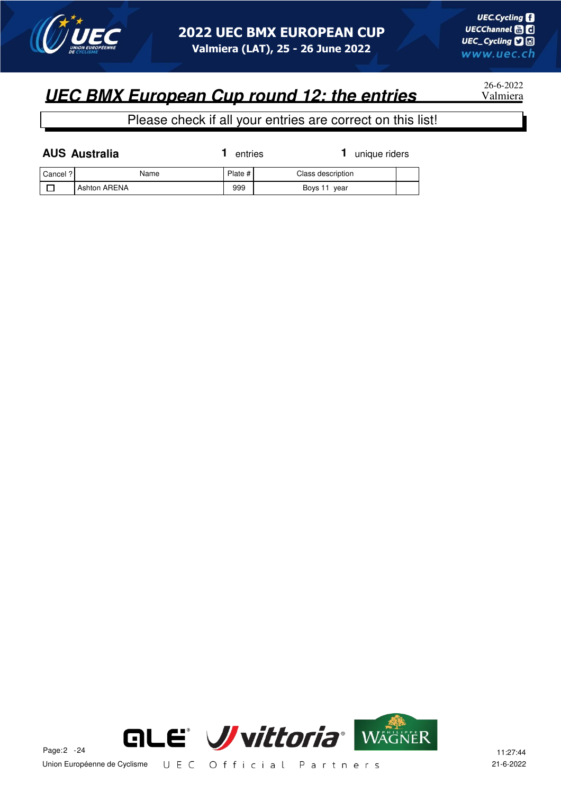

26-6-2022

Please check if all your entries are correct on this list!

| <b>AUS Australia</b> |              | entries |                   | unique riders |  |
|----------------------|--------------|---------|-------------------|---------------|--|
| Cancel ?             | Name         | Plate # | Class description |               |  |
|                      | Ashton ARENA | 999     | Boys 11 year      |               |  |

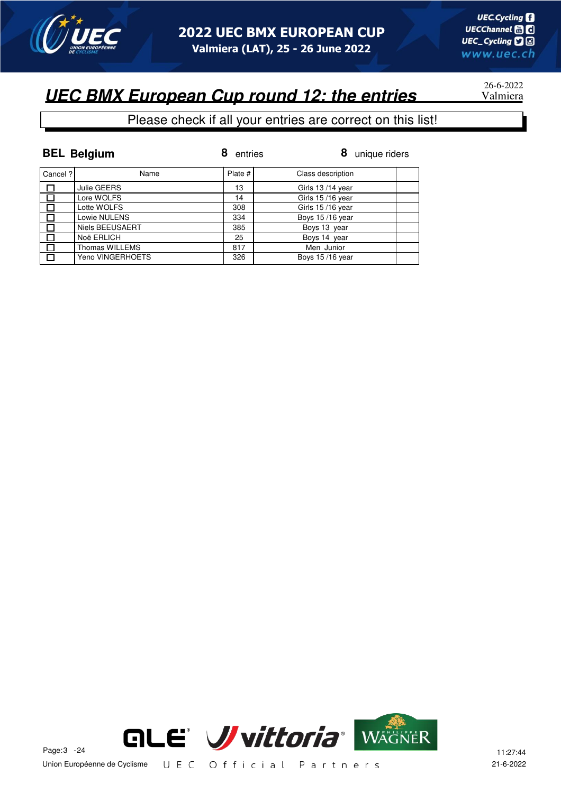

26-6-2022

#### **UEC BMX European Cup round 12: the entries**

#### Please check if all your entries are correct on this list!

|          | <b>BEL Belgium</b> | 8<br>entries | 8<br>unique riders |
|----------|--------------------|--------------|--------------------|
| Cancel ? | Name               | Plate #      | Class description  |
| 口        | Julie GEERS        | 13           | Girls 13/14 year   |
|          | Lore WOLFS         | 14           | Girls 15/16 year   |
|          | Lotte WOLFS        | 308          | Girls 15/16 year   |
|          | Lowie NULENS       | 334          | Boys 15/16 year    |
|          | Niels BEEUSAERT    | 385          | Boys 13 year       |
|          | Noë ERLICH         | 25           | Boys 14 year       |
|          | Thomas WILLEMS     | 817          | Men Junior         |
|          | Yeno VINGERHOETS   | 326          | Boys 15/16 year    |

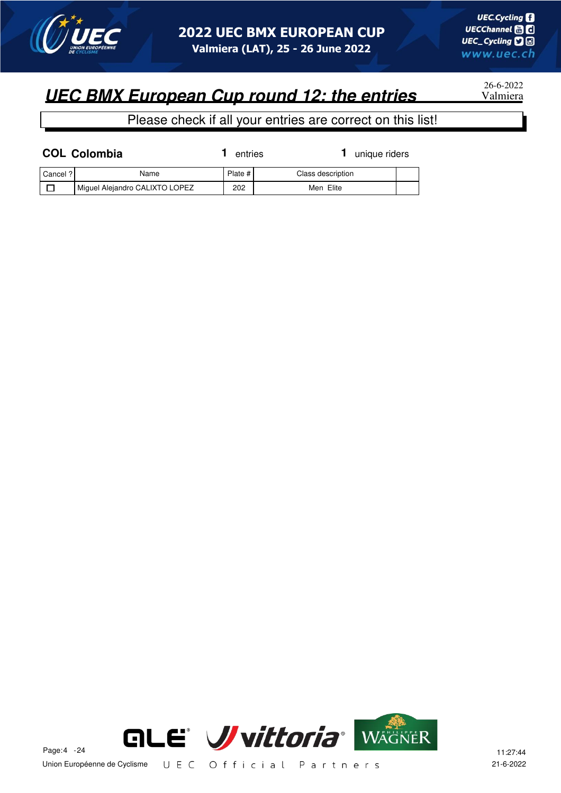

26-6-2022

|          | <b>COL Colombia</b>            | entries | unique riders     |  |
|----------|--------------------------------|---------|-------------------|--|
| Cancel ? | Name                           | Plate # | Class description |  |
|          | Miguel Alejandro CALIXTO LOPEZ | 202     | Men Elite         |  |

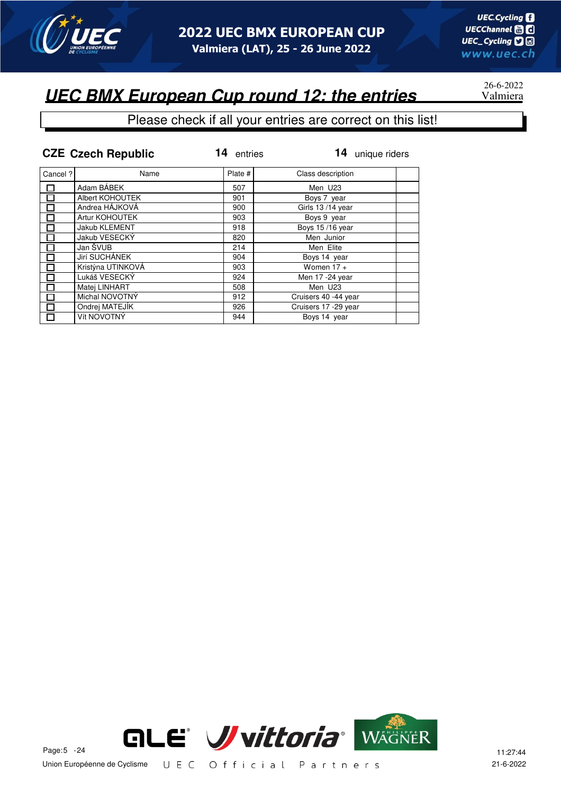

# 26-6-2022

|                          | <b>CZE Czech Republic</b> | 14<br>entries | 14<br>unique riders  |
|--------------------------|---------------------------|---------------|----------------------|
| Cancel?                  | Name                      | Plate #       | Class description    |
| $\overline{\phantom{0}}$ | Adam BÁBEK                | 507           | Men U23              |
| $\overline{\phantom{a}}$ | Albert KOHOUTEK           | 901           | Boys 7 year          |
|                          | Andrea HÁJKOVÁ            | 900           | Girls 13/14 year     |
|                          | Artur KOHOUTEK            | 903           | Boys 9 year          |
| П                        | Jakub KLEMENT             | 918           | Boys 15/16 year      |
|                          | Jakub VESECKÝ             | 820           | Men Junior           |
| П                        | Jan ŠVUB                  | 214           | Men Elite            |
|                          | Jirí SUCHÁNEK             | 904           | Boys 14 year         |
|                          | Kristýna UTINKOVÁ         | 903           | Women $17 +$         |
|                          | Lukáš VESECKÝ             | 924           | Men 17 -24 year      |
| 囗                        | Matei LINHART             | 508           | Men U23              |
| П                        | Michal NOVOTNÝ            | 912           | Cruisers 40 -44 year |
|                          | Ondrej MATEJÍK            | 926           | Cruisers 17 -29 year |
| П                        | Vít NOVOTNÝ               | 944           | Boys 14 year         |

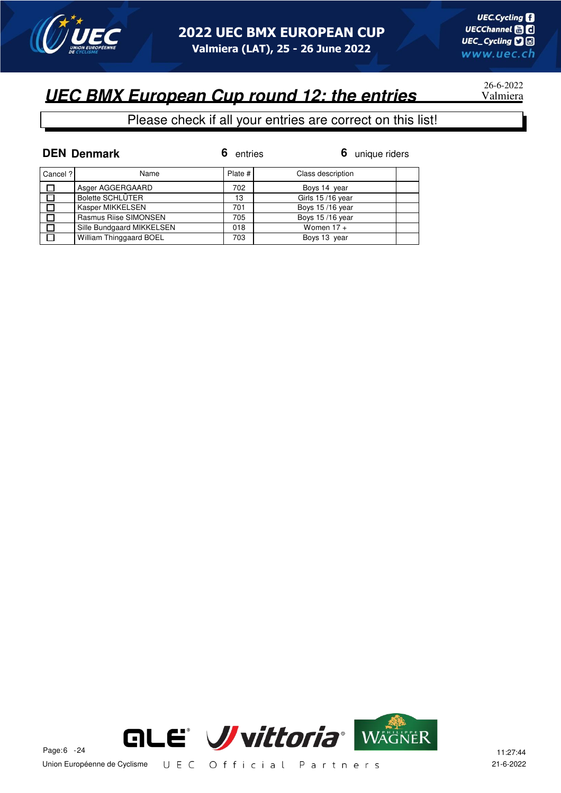

# 26-6-2022

#### Please check if all your entries are correct on this list!

|          | <b>DEN Denmark</b>        | entries | 6<br>unique riders |
|----------|---------------------------|---------|--------------------|
| Cancel ? | Name                      | Plate # | Class description  |
| $\Box$   | Asger AGGERGAARD          | 702     | Boys 14 year       |
| ान       | <b>Bolette SCHLÜTER</b>   | 13      | Girls 15/16 year   |
| $\Box$   | Kasper MIKKELSEN          | 701     | Boys 15/16 year    |
|          | Rasmus Riise SIMONSEN     | 705     | Boys 15/16 year    |
| $\Box$   | Sille Bundgaard MIKKELSEN | 018     | Women $17 +$       |
| $\Box$   | William Thinggaard BOEL   | 703     | Boys 13 year       |

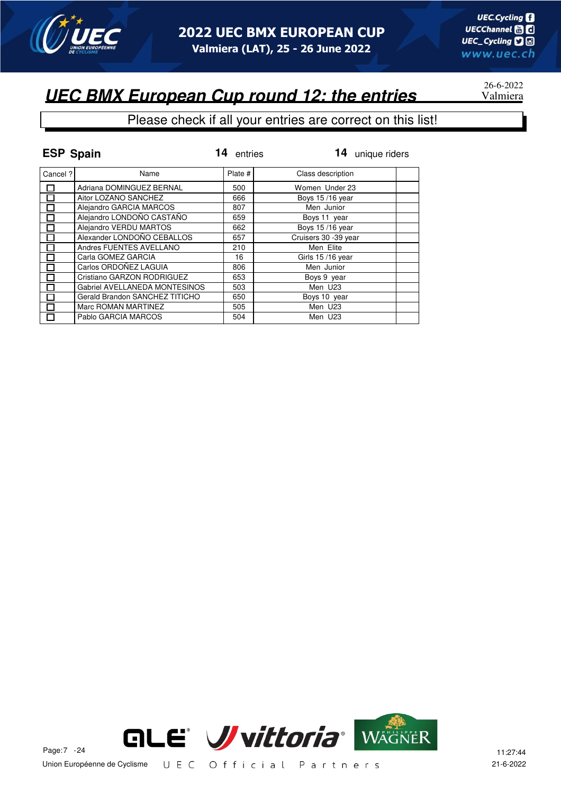

# 26-6-2022

| <b>ESP Spain</b> |                                | 14<br>entries | 14 unique riders     |
|------------------|--------------------------------|---------------|----------------------|
| Cancel ?         | Name                           | Plate #       | Class description    |
|                  | Adriana DOMINGUEZ BERNAL       | 500           | Women Under 23       |
|                  | Aitor LOZANO SANCHEZ           | 666           | Boys 15/16 year      |
|                  | Alejandro GARCIA MARCOS        | 807           | Men Junior           |
|                  | Alejandro LONDOÑO CASTAÑO      | 659           | Boys 11 year         |
|                  | Alejandro VERDU MARTOS         | 662           | Boys 15/16 year      |
|                  | Alexander LONDOÑO CEBALLOS     | 657           | Cruisers 30 -39 year |
|                  | Andres FUENTES AVELLANO        | 210           | Men Elite            |
|                  | Carla GOMEZ GARCIA             | 16            | Girls 15/16 year     |
|                  | Carlos ORDOÑEZ LAGUIA          | 806           | Men Junior           |
|                  | Cristiano GARZON RODRIGUEZ     | 653           | Boys 9 year          |
|                  | Gabriel AVELLANEDA MONTESINOS  | 503           | Men U23              |
| П                | Gerald Brandon SANCHEZ TITICHO | 650           | Boys 10 year         |
|                  | Marc ROMAN MARTINEZ            | 505           | Men U23              |
|                  | Pablo GARCIA MARCOS            | 504           | Men U23              |

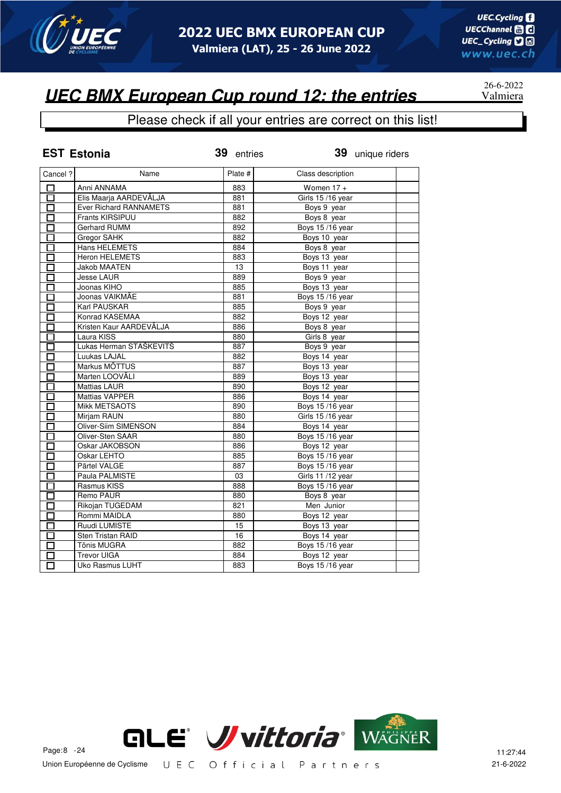

#### Please check if all your entries are correct on this list!

|                   | <b>EST Estonia</b>          | 39 entries | 39 unique riders       |
|-------------------|-----------------------------|------------|------------------------|
| Cancel ?          | Name                        | Plate #    | Class description      |
| □                 | Anni ANNAMA                 | 883        | Women $17 +$           |
| $\overline{\Box}$ | Elis Maarja AARDEVÄLJA      | 881        | Girls 15/16 year       |
| 口                 | Ever Richard RANNAMETS      | 881        | Boys 9 year            |
| ◻                 | Frants KIRSIPUU             | 882        | Boys 8 year            |
| $\Box$            | Gerhard RUMM                | 892        | Boys 15/16 year        |
| 口                 | Gregor SAHK                 | 882        | Boys 10 year           |
| П                 | <b>Hans HELEMETS</b>        | 884        | Boys 8 year            |
| П                 | <b>Heron HELEMETS</b>       | 883        | Boys 13 year           |
| □                 | <b>Jakob MAATEN</b>         | 13         | Boys 11 year           |
| □                 | <b>Jesse LAUR</b>           | 889        | Boys 9 year            |
| П                 | Joonas KIHO                 | 885        | Boys 13 year           |
| 口                 | Joonas VAIKMÄE              | 881        | Boys 15/16 year        |
| □                 | Karl PAUSKAR                | 885        | Boys 9 year            |
| $\overline{\Box}$ | Konrad KASEMAA              | 882        | Boys 12 year           |
| П                 | Kristen Kaur AARDEVÄLJA     | 886        | Boys 8 year            |
| П                 | Laura KISS                  | 880        | Girls 8 year           |
| $\Box$            | Lukas Herman STAŠKEVITŠ     | 887        | Boys 9 year            |
| $\overline{\Box}$ | Luukas LAJAL                | 882        | Boys 14 year           |
| П                 | Markus MÕTTUS               | 887        | Boys 13 year           |
| $\Box$            | Marten LOOVÄLI              | 889        | Boys 13 year           |
| $\Box$            | <b>Mattias LAUR</b>         | 890        | Boys 12 year           |
| $\Box$            | <b>Mattias VAPPER</b>       | 886        | Boys 14 year           |
| 口                 | <b>Mikk METSAOTS</b>        | 890        | Boys 15/16 year        |
| 囗                 | Mirjam RAUN                 | 880        | Girls 15/16 year       |
| $\overline{\Box}$ | <b>Oliver-Siim SIMENSON</b> | 884        | Boys 14 year           |
| П                 | Oliver-Sten SAAR            | 880        | Boys 15/16 year        |
| П                 | Oskar JAKOBSON              | 886        | Boys 12 year           |
| П                 | Oskar LEHTO                 | 885        | Boys 15/16 year        |
| $\Box$            | Pärtel VALGE                | 887        | Boys 15/16 year        |
| □                 | Paula PALMISTE              | 03         | Girls 11 /12 year      |
| П                 | Rasmus KISS                 | 888        | Boys 15/16 year        |
| $\Box$            | Remo PAUR                   | 880        | Boys 8 year            |
| П                 | Rikojan TUGEDAM             | 821        | Men Junior             |
| П                 | Rommi MAIDLA                | 880        | Boys 12 year           |
| П                 | Ruudi LUMISTE               | 15         | Boys 13 year           |
|                   | Sten Tristan RAID           | 16         | Boys 14 year           |
| П                 | <b>Tõnis MUGRA</b>          | 882        | <b>Boys 15/16 year</b> |
|                   | <b>Trevor UIGA</b>          | 884        | Boys 12 year           |
| П                 | Uko Rasmus LUHT             | 883        | <b>Boys 15/16 year</b> |



26-6-2022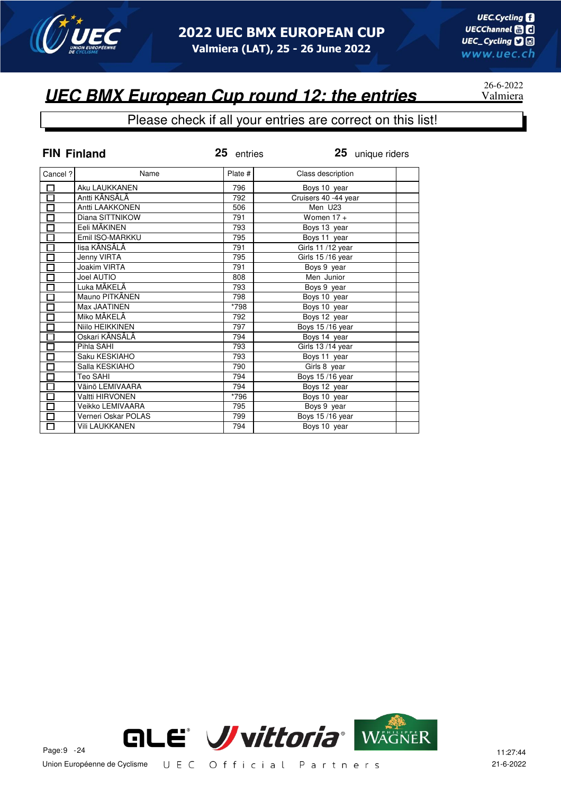

#### Please check if all your entries are correct on this list!

| <b>FIN Finland</b>  |                        | 25 entries | 25 unique riders     |
|---------------------|------------------------|------------|----------------------|
| Cancel?             | Name                   | Plate #    | Class description    |
| <u>口</u>            | Aku LAUKKANEN          | 796        | Boys 10 year         |
| 古日日                 | Antti KÄNSÄLÄ          | 792        | Cruisers 40 -44 year |
|                     | Antti LAAKKONEN        | 506        | Men U23              |
|                     | Diana SITTNIKOW        | 791        | Women $17 +$         |
| $\overline{\Box}$   | Eeli MÄKINEN           | 793        | Boys 13 year         |
| 미디디디                | Emil ISO-MARKKU        | 795        | Boys 11 year         |
|                     | lisa KÄNSÄLÄ           | 791        | Girls 11 /12 year    |
|                     | Jenny VIRTA            | 795        | Girls 15/16 year     |
|                     | <b>Joakim VIRTA</b>    | 791        | Boys 9 year          |
| 亘                   | Joel AUTIO             | 808        | Men Junior           |
|                     | Luka MÄKELÄ            | 793        | Boys 9 year          |
| $\bar{\Xi}$         | Mauno PITKÄNEN         | 798        | Boys 10 year         |
|                     | Max JAATINEN           | 798        | Boys 10 year         |
| $\overline{\Box}$   | Miko MÄKELÄ            | 792        | Boys 12 year         |
|                     | Niilo HEIKKINEN        | 797        | Boys 15/16 year      |
|                     | Oskari KÄNSÄLÄ         | 794        | Boys 14 year         |
| 昌昌                  | Pihla SAHI             | 793        | Girls 13/14 year     |
|                     | Saku KESKIAHO          | 793        | Boys 11 year         |
| $\overline{\Box}$   | Salla KESKIAHO         | 790        | Girls 8 year         |
|                     | Teo SAHI               | 794        | Boys 15/16 year      |
| Ō                   | Väinö LEMIVAARA        | 794        | Boys 12 year         |
| $\frac{\Box}{\Box}$ | <b>Valtti HIRVONEN</b> | *796       | Boys 10 year         |
|                     | Veikko LEMIVAARA       | 795        | Boys 9 year          |
| $\overline{\Box}$   | Verneri Oskar POLAS    | 799        | Boys 15/16 year      |
| $\overline{\Box}$   | <b>Vili LAUKKANEN</b>  | 794        | Boys 10 year         |



$$
26-6-2022
$$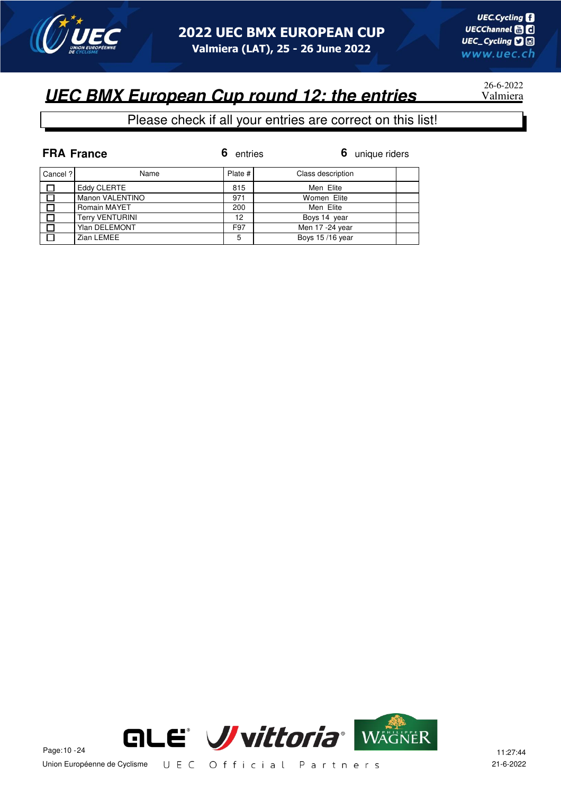

# 26-6-2022

|         | <b>FRA France</b>      | 6<br>entries | 6 unique riders   |
|---------|------------------------|--------------|-------------------|
| Cancel? | Name                   | Plate $#$    | Class description |
| П       | Eddy CLERTE            | 815          | Men Elite         |
| 口       | Manon VALENTINO        | 971          | Women Elite       |
| П       | Romain MAYET           | 200          | Men Elite         |
| 口       | <b>Terry VENTURINI</b> | 12           | Boys 14 year      |
| П       | <b>Ylan DELEMONT</b>   | F97          | Men 17 -24 year   |
| П       | Zian LEMEE             | 5            | Boys 15/16 year   |

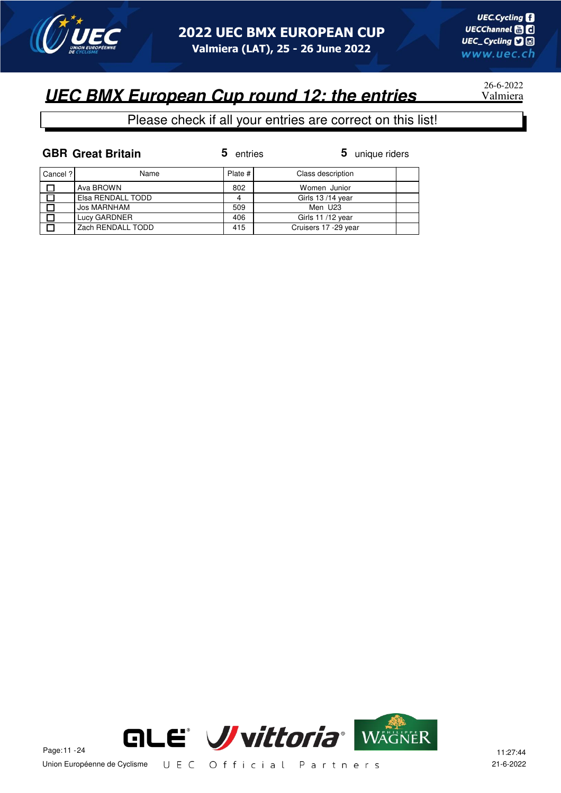

26-6-2022

#### Please check if all your entries are correct on this list!

| <b>GBR Great Britain</b> | 5 entries | $5$ uniq |
|--------------------------|-----------|----------|
|                          |           |          |

**5** entries **5** unique riders

| Cancel ? | Name              | Plate # | Class description    |  |
|----------|-------------------|---------|----------------------|--|
|          | Ava BROWN         | 802     | Women Junior         |  |
|          | Elsa RENDALL TODD |         | Girls 13/14 year     |  |
|          | Jos MARNHAM       | 509     | Men U23              |  |
|          | Lucy GARDNER      | 406     | Girls 11/12 year     |  |
|          | Zach RENDALL TODD | 415     | Cruisers 17 -29 year |  |

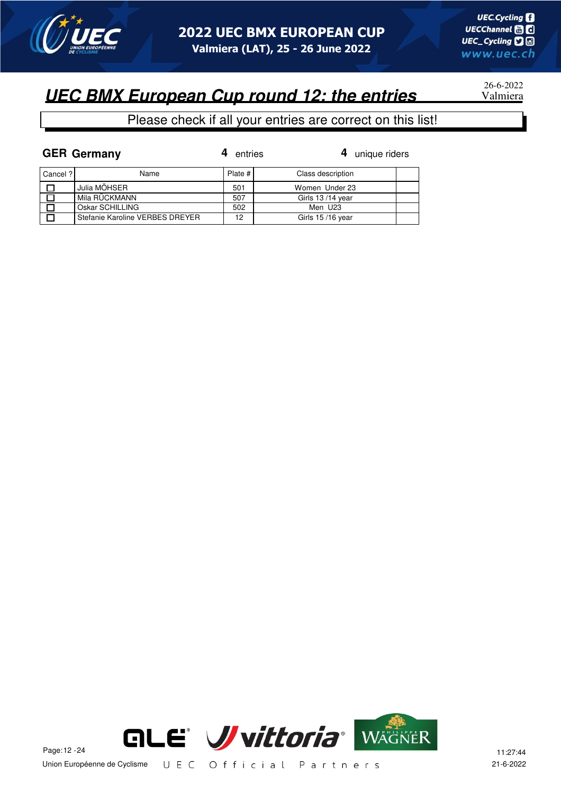

26-6-2022

|          | <b>GER Germany</b>              | entries | 4 unique riders   |  |
|----------|---------------------------------|---------|-------------------|--|
| Cancel ? | Name                            | Plate # | Class description |  |
|          | Julia MÖHSER                    | 501     | Women Under 23    |  |
|          | Mila RÜCKMANN                   | 507     | Girls 13/14 year  |  |
|          | Oskar SCHILLING                 | 502     | Men U23           |  |
|          | Stefanie Karoline VERBES DREYER | 12      | Girls 15/16 year  |  |

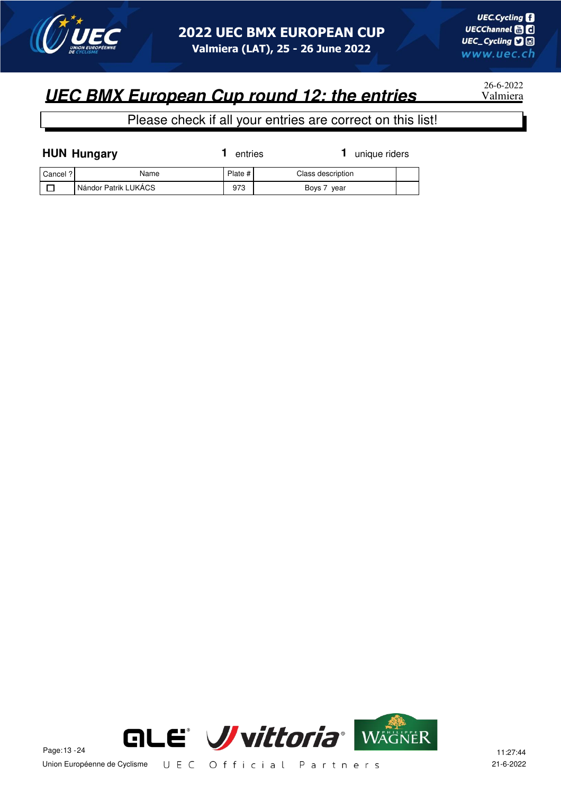

26-6-2022

|          | <b>HUN Hungary</b>   | entries | unique riders     |  |
|----------|----------------------|---------|-------------------|--|
| Cancel ? | Name                 | Plate # | Class description |  |
|          | Nándor Patrik LUKÁCS | 973     | Boys 7 year       |  |

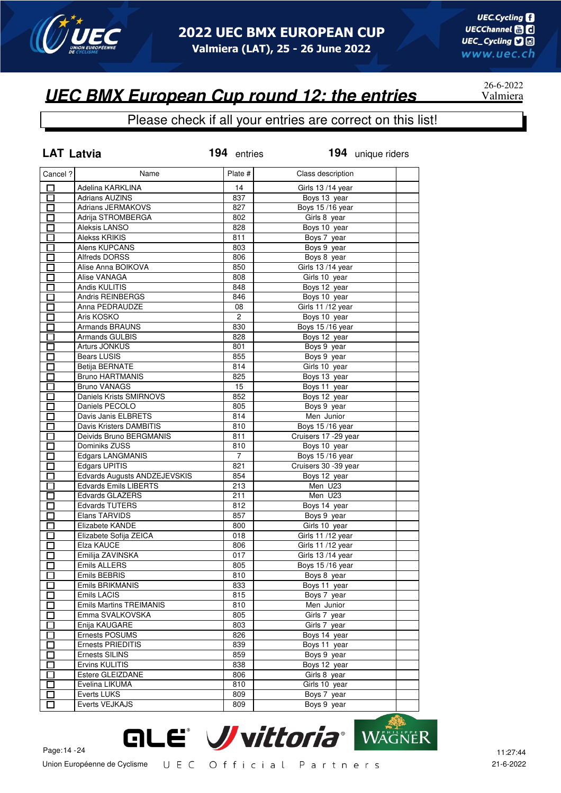

26-6-2022

# **UEC BMX European Cup round 12: the entries**

| <b>LAT Latvia</b> |                                | 194 entries    | 194 unique riders    |
|-------------------|--------------------------------|----------------|----------------------|
| Cancel ?          | Name                           | Plate #        | Class description    |
| □                 | Adelina KARKLINA               | 14             | Girls 13/14 year     |
| 口                 | <b>Adrians AUZINS</b>          | 837            | Boys 13 year         |
| □                 | <b>Adrians JERMAKOVS</b>       | 827            | Boys 15/16 year      |
| П                 | Adrija STROMBERGA              | 802            | Girls 8 year         |
| П                 | Aleksis LANSO                  | 828            | Boys 10 year         |
| П                 | <b>Alekss KRIKIS</b>           | 811            | Boys 7 year          |
| П                 | Alens KUPCANS                  | 803            | Boys 9 year          |
| П                 | <b>Alfreds DORSS</b>           | 806            | Boys 8 year          |
| П                 | Alise Anna BOIKOVA             | 850            | Girls 13/14 year     |
| □                 | Alise VANAGA                   | 808            | Girls 10 year        |
| $\Box$            | Andis KULITIS                  | 848            | Boys 12 year         |
| 口                 | Andris REINBERGS               | 846            | Boys 10 year         |
| 口                 | Anna PEDRAUDZE                 | 08             | Girls 11 /12 year    |
| $\Box$            | Aris KOSKO                     | $\overline{2}$ | Boys 10 year         |
| $\Box$            | <b>Armands BRAUNS</b>          | 830            | Boys 15/16 year      |
| П                 | <b>Armands GULBIS</b>          | 828            | Boys 12 year         |
| $\Box$            | Arturs JONKUS                  | 801            | Boys 9 year          |
| $\Box$            | Bears LUSIS                    | 855            | Boys 9 year          |
| $\Box$            | <b>Betija BERNATE</b>          | 814            | Girls 10 year        |
| П                 | <b>Bruno HARTMANIS</b>         | 825            | Boys 13 year         |
| П                 | <b>Bruno VANAGS</b>            | 15             | Boys 11 year         |
| □                 | Daniels Krists SMIRNOVS        | 852            | Boys 12 year         |
| $\Box$            | Daniels PECOLO                 | 805            | Boys 9 year          |
| П                 | Davis Janis ELBRETS            | 814            | Men Junior           |
| □                 | Davis Kristers DAMBITIS        | 810            | Boys 15/16 year      |
| □                 | Deivids Bruno BERGMANIS        | 811            | Cruisers 17 -29 year |
| П                 | Dominiks ZUSS                  | 810            | Boys 10 year         |
| П                 | <b>Edgars LANGMANIS</b>        | $\overline{7}$ | Boys 15/16 year      |
| П                 | Edgars UPITIS                  | 821            | Cruisers 30 -39 year |
| П                 | Edvards Augusts ANDZEJEVSKIS   | 854            | Boys 12 year         |
| $\Box$            | <b>Edvards Emils LIBERTS</b>   | 213            | Men U23              |
| П                 | <b>Edvards GLAZERS</b>         | 211            | Men U23              |
| П                 | Edvards TUTERS                 | 812            | Boys 14 year         |
| П                 | Elans TARVIDS                  | 857            | Boys 9 year          |
| П                 | Elizabete KANDE                | 800            | Girls 10 year        |
| П                 | Elizabete Sofija ZEICA         | 018            | Girls 11 /12 year    |
| П                 | Elza KAUCE                     | 806            | Girls 11/12 year     |
| П                 | Emilija ZAVINSKA               | 017            | Girls 13/14 year     |
| $\Box$            | <b>Emils ALLERS</b>            | 805            | Boys 15/16 year      |
| I I               | Emils BEBRIS                   | 810            | Boys 8 year          |
|                   | Emils BRIKMANIS                | 833            | Boys 11 year         |
| П                 | Emils LACIS                    | 815            | Boys 7 year          |
| $\Box$            | <b>Emils Martins TREIMANIS</b> | 810            | Men Junior           |
| $\Box$            | Emma SVALKOVSKA                | 805            | Girls 7 year         |
| П                 | Enija KAUGARE                  | 803            | Girls 7 year         |
| 囗                 | Ernests POSUMS                 | 826            | Boys 14 year         |
| $\Box$            | Ernests PRIEDITIS              | 839            | Boys 11 year         |
| $\Box$            | Ernests SILINS                 | 859            | Boys 9 year          |
| П                 | Ervins KULITIS                 | 838            | Boys 12 year         |
| דו                | Estere GLEIZDANE               | 806            | Girls 8 year         |
| $\mathbf{I}$      | Evelina LIKUMA                 | 810            | Girls 10 year        |
|                   | Everts LUKS                    | 809            | Boys 7 year          |
| П                 | Everts VEJKAJS                 | 809            | Boys 9 year          |

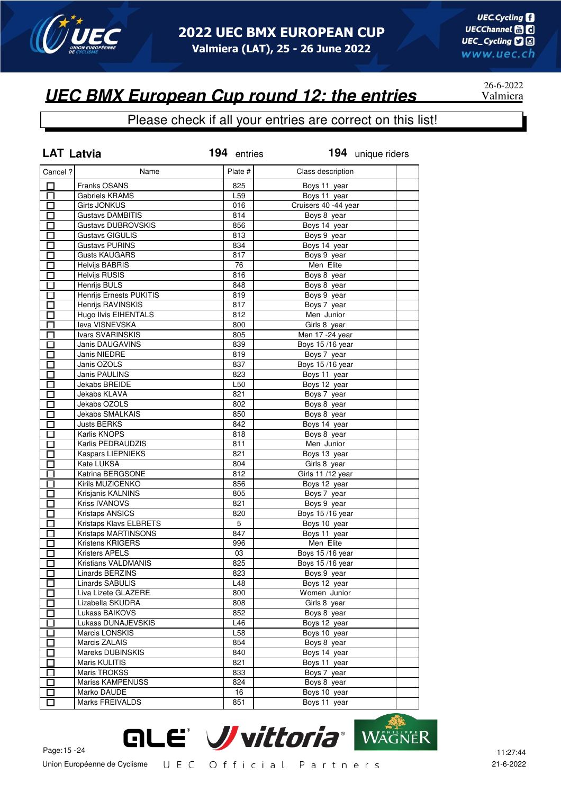

26-6-2022

### **UEC BMX European Cup round 12: the entries**

| <b>LAT Latvia</b>        |                             | 194 entries | 194 unique riders           |  |
|--------------------------|-----------------------------|-------------|-----------------------------|--|
| Cancel ?                 | Name                        | Plate #     | Class description           |  |
| □                        | Franks OSANS                | 825         | Boys 11 year                |  |
| $\Box$                   | <b>Gabriels KRAMS</b>       | L59         | Boys 11 year                |  |
| $\Box$                   | <b>Girts JONKUS</b>         | 016         | Cruisers 40 -44 year        |  |
| $\Box$                   | <b>Gustavs DAMBITIS</b>     | 814         | Boys 8 year                 |  |
| $\Box$                   | Gustavs DUBROVSKIS          | 856         | Boys 14 year                |  |
| $\Box$                   | <b>Gustavs GIGULIS</b>      | 813         | Boys 9 year                 |  |
| ロ                        | <b>Gustavs PURINS</b>       | 834         | Boys 14 year                |  |
| $\Box$                   | <b>Gusts KAUGARS</b>        | 817         | Boys 9 year                 |  |
| $\Box$                   | <b>Helvijs BABRIS</b>       | 76          | Men Elite                   |  |
| П                        | <b>Helvijs RUSIS</b>        | 816         | Boys 8 year                 |  |
| П                        | <b>Henrijs BULS</b>         | 848         | Boys 8 year                 |  |
| П                        | Henrijs Ernests PUKITIS     | 819         | Boys 9 year                 |  |
| П                        | Henrijs RAVINSKIS           | 817         | Boys 7 year                 |  |
| П                        | <b>Hugo Ilvis EIHENTALS</b> | 812         | Men Junior                  |  |
| Π                        | leva VISNEVSKA              | 800         | Girls 8 year                |  |
| Ξ                        | Ivars SVARINSKIS            | 805         | Men 17 - 24 year            |  |
|                          | Janis DAUGAVINS             | 839         | Boys 15/16 year             |  |
| П                        | Janis NIEDRE                | 819         | Boys 7 year                 |  |
| $\overline{\phantom{0}}$ | Janis OZOLS                 | 837         | Boys 15/16 year             |  |
| П                        | <b>Janis PAULINS</b>        | 823         | Boys 11 year                |  |
| П                        | Jekabs BREIDE               | L50         | Boys 12 year                |  |
| П                        | Jekabs KLAVA                | 821         | Boys 7 year                 |  |
| $\Box$                   | Jekabs OZOLS                | 802         | Boys 8 year                 |  |
| П                        | Jekabs SMALKAIS             | 850         | Boys 8 year                 |  |
| $\Box$                   | <b>Justs BERKS</b>          | 842         | Boys 14 year                |  |
| 囗                        | Karlis KNOPS                | 818         | Boys 8 year                 |  |
| $\Box$                   | Karlis PEDRAUDZIS           | 811         | Men Junior                  |  |
| П                        | <b>Kaspars LIEPNIEKS</b>    | 821         | Boys 13 year                |  |
| $\Box$                   | Kate LUKSA                  | 804         | Girls 8 year                |  |
| $\Box$                   | Katrina BERGSONE            | 812         | Girls 11 /12 year           |  |
| $\Box$                   | Kirils MUZICENKO            | 856         | Boys 12 year                |  |
| П                        | Krisjanis KALNINS           | 805         | Boys 7 year                 |  |
| $\Box$                   | Kriss IVANOVS               | 821         | Boys 9 year                 |  |
| 口                        | Kristaps ANSICS             | 820         | Boys 15/16 year             |  |
| $\Box$                   | Kristaps Klavs ELBRETS      | 5           | Boys 10 year                |  |
| $\Box$                   | Kristaps MARTINSONS         | 847         | Boys 11 year                |  |
| □                        | Kristens KRIGERS            | 996         | Men Elite                   |  |
|                          | <b>Kristers APELS</b>       | 03          | Boys 15/16 year             |  |
| $\overline{\Box}$        | Kristians VALDMANIS         | 825         | Boys 15/16 year             |  |
|                          | Linards BERZINS             | 823         | Boys 9 year                 |  |
| ப<br>П                   | Linards SABULIS             | L48         | Boys 12 year                |  |
| $\mathsf{\Gamma}$        | Liva Lizete GLAZERE         | 800         | Women Junior                |  |
| $\mathbf{I}$             | Lizabella SKUDRA            | 808         | Girls 8 year                |  |
| $\mathbf{I}$             | Lukass BAIKOVS              | 852         | Boys 8 year                 |  |
| Π                        | Lukass DUNAJEVSKIS          | L46         | Boys 12 year                |  |
| $\mathbf{r}$             | Marcis LONSKIS              | L58         |                             |  |
|                          | Marcis ZALAIS               | 854         | Boys 10 year<br>Boys 8 year |  |
| П                        | Mareks DUBINSKIS            |             | Boys 14 year                |  |
| $\overline{\phantom{a}}$ |                             | 840         |                             |  |
| $\mathbf{r}$             | Maris KULITIS               | 821         | Boys 11 year                |  |
| $\mathbf{I}$             | Maris TROKSS                | 833         | Boys 7 year                 |  |
| $\blacksquare$           | <b>Mariss KAMPENUSS</b>     | 824         | Boys 8 year                 |  |
| П                        | Marko DAUDE                 | 16          | Boys 10 year                |  |
| П                        | Marks FREIVALDS             | 851         | Boys 11 year                |  |

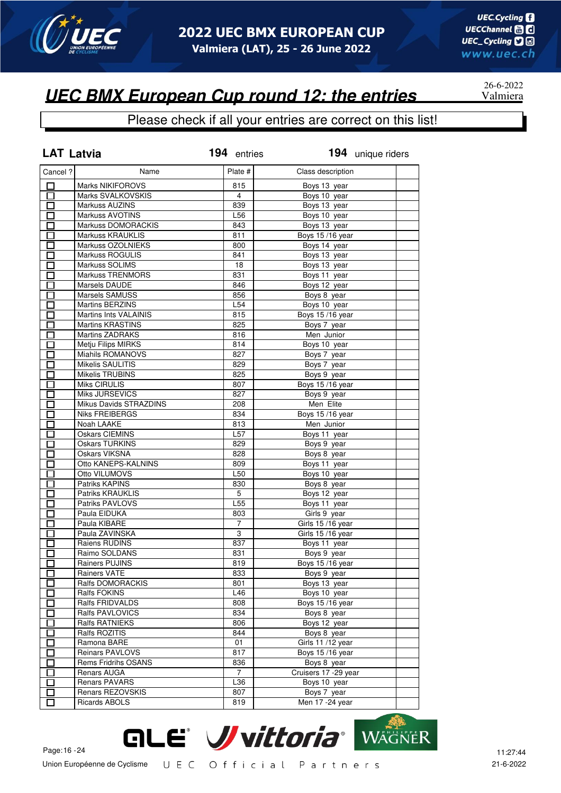

#### Please check if all your entries are correct on this list!

| <b>LAT Latvia</b>                                    |                         | 194 entries     | 194 unique riders     |  |
|------------------------------------------------------|-------------------------|-----------------|-----------------------|--|
| Cancel ?                                             | Name                    | Plate #         | Class description     |  |
| □                                                    | <b>Marks NIKIFOROVS</b> | 815             | Boys 13 year          |  |
| $\overline{\Box}$                                    | Marks SVALKOVSKIS       | 4               | Boys 10 year          |  |
| $\Box$                                               | Markuss AUZINS          | 839             | Boys 13 year          |  |
| □                                                    | Markuss AVOTINS         | L56             | Boys 10 year          |  |
| $\Box$                                               | Markuss DOMORACKIS      | 843             | Boys 13 year          |  |
| П                                                    | <b>Markuss KRAUKLIS</b> | 811             | Boys 15/16 year       |  |
| П                                                    | Markuss OZOLNIEKS       | 800             | Boys 14 year          |  |
| $\Box$                                               | <b>Markuss ROGULIS</b>  | 841             | Boys 13 year          |  |
| $\Box$                                               | Markuss SOLIMS          | 18              | Boys 13 year          |  |
| П                                                    | <b>Markuss TRENMORS</b> | 831             | Boys 11 year          |  |
| П                                                    | Marsels DAUDE           | 846             | Boys 12 year          |  |
| П                                                    | Marsels SAMUSS          | 856             | Boys 8 year           |  |
|                                                      | <b>Martins BERZINS</b>  | L <sub>54</sub> | Boys 10 year          |  |
| n an an Aonaichte ag an Sualach an 1977.<br>Tagairtí |                         |                 |                       |  |
| $\Box$                                               | Martins Ints VALAINIS   | 815             | Boys 15/16 year       |  |
| Π                                                    | <b>Martins KRASTINS</b> | 825             | Boys 7 year           |  |
| Ξ                                                    | <b>Martins ZADRAKS</b>  | 816             | Men Junior            |  |
| n an an Aonaichte ag an Sualach an 1977.<br>Tagairtí | Metju Filips MIRKS      | 814             | Boys 10 year          |  |
| n an an Aonaichte ag an Sualach an 1977.<br>Tagairtí | Miahils ROMANOVS        | 827             | Boys 7 year           |  |
| E.                                                   | Mikelis SAULITIS        | 829             | Boys 7 year           |  |
| П                                                    | <b>Mikelis TRUBINS</b>  | 825             | Boys 9 year           |  |
| П                                                    | Miks CIRULIS            | 807             | Boys 15/16 year       |  |
| П                                                    | Miks JURSEVICS          | 827             | Boys 9 year           |  |
| $\Box$                                               | Mikus Davids STRAZDINS  | 208             | Men Elite             |  |
| Ξ                                                    | Niks FREIBERGS          | 834             | Boys 15/16 year       |  |
| $\Box$                                               | Noah LAAKE              | 813             | Men Junior            |  |
| $\Box$                                               | <b>Oskars CIEMINS</b>   | L57             | Boys 11 year          |  |
| П                                                    | <b>Oskars TURKINS</b>   | 829             | Boys 9 year           |  |
| П                                                    | <b>Oskars VIKSNA</b>    | 828             | Boys 8 year           |  |
| $\Box$                                               | Otto KANEPS-KALNINS     | 809             | Boys 11 year          |  |
| $\Box$                                               | Otto VILUMOVS           | L50             | Boys 10 year          |  |
| П                                                    | Patriks KAPINS          | 830             | Boys 8 year           |  |
| П                                                    | Patriks KRAUKLIS        | 5               | Boys 12 year          |  |
| $\Box$                                               | Patriks PAVLOVS         | L55             | Boys 11 year          |  |
| $\Box$                                               | Paula EIDUKA            | 803             | Girls 9 year          |  |
| П                                                    | Paula KIBARE            | 7               | Girls 15/16 year      |  |
| Π                                                    | Paula ZAVINSKA          | 3               | Girls 15/16 year      |  |
| П                                                    | Raiens RUDINS           | 837             | Boys 11 year          |  |
|                                                      | Raimo SOLDANS           | 831             | Boys 9 year           |  |
| 口                                                    | Rainers PUJINS          | 819             | Boys 15/16 year       |  |
| ப                                                    | Rainers VATE            | 833             | Boys 9 year           |  |
| П                                                    | Ralfs DOMORACKIS        | 801             | Boys 13 year          |  |
| П                                                    | Ralfs FOKINS            | L46             | Boys 10 year          |  |
|                                                      | Ralfs FRIDVALDS         | 808             | Boys 15/16 year       |  |
| П                                                    | Ralfs PAVLOVICS         |                 |                       |  |
| n an an Aonaichte ag an Sualach an 1977.<br>Tagairtí |                         | 834             | Boys 8 year           |  |
| Π                                                    | Ralfs RATNIEKS          | 806             | Boys 12 year          |  |
| $\mathsf{L}$                                         | Ralfs ROZITIS           | 844             | Boys 8 year           |  |
| П                                                    | Ramona BARE             | 01              | Girls 11/12 year      |  |
| $\Box$                                               | <b>Reinars PAVLOVS</b>  | 817             | Boys 15/16 year       |  |
| $\mathbf{r}$                                         | Rems Fridrihs OSANS     | 836             | Boys 8 year           |  |
| I I                                                  | Renars AUGA             | 7               | Cruisers 17 - 29 year |  |
| П                                                    | <b>Renars PAVARS</b>    | L36             | Boys 10 year          |  |
| $\Box$                                               | Renars REZOVSKIS        | 807             | Boys 7 year           |  |
| $\overline{\phantom{0}}$                             | <b>Ricards ABOLS</b>    | 819             | Men 17 -24 year       |  |



26-6-2022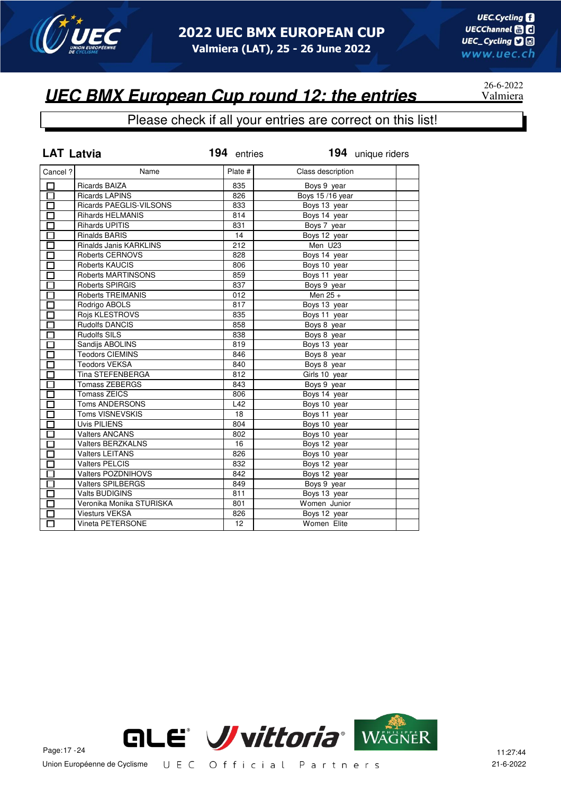

26-6-2022

### **UEC BMX European Cup round 12: the entries**

| <b>LAT Latvia</b>    |                           | 194 entries     | 194 unique riders |  |
|----------------------|---------------------------|-----------------|-------------------|--|
| Cancel ?             | Name                      | Plate #         | Class description |  |
| $\Box$               | <b>Ricards BAIZA</b>      | 835             | Boys 9 year       |  |
| Ō                    | <b>Ricards LAPINS</b>     | 826             | Boys 15/16 year   |  |
| $\Box$               | Ricards PAEGLIS-VILSONS   | 833             | Boys 13 year      |  |
| $\overline{\square}$ | <b>Rihards HELMANIS</b>   | 814             | Boys 14 year      |  |
| $\overline{\Box}$    | <b>Rihards UPITIS</b>     | 831             | Boys 7 year       |  |
| $\Box$               | <b>Rinalds BARIS</b>      | 14              | Boys 12 year      |  |
| П                    | Rinalds Janis KARKLINS    | 212             | Men U23           |  |
| $\Box$               | <b>Roberts CERNOVS</b>    | 828             | Boys 14 year      |  |
| $\Box$               | Roberts KAUCIS            | 806             | Boys 10 year      |  |
| $\Box$               | Roberts MARTINSONS        | 859             | Boys 11 year      |  |
| П                    | <b>Roberts SPIRGIS</b>    | 837             | Boys 9 year       |  |
| $\Box$               | <b>Roberts TREIMANIS</b>  | 012             | Men $25 +$        |  |
| П                    | Rodrigo ABOLS             | 817             | Boys 13 year      |  |
| П                    | Rojs KLESTROVS            | 835             | Boys 11 year      |  |
| П                    | <b>Rudolfs DANCIS</b>     | 858             | Boys 8 year       |  |
| П                    | <b>Rudolfs SILS</b>       | 838             | Boys 8 year       |  |
| П                    | Sandijs ABOLINS           | 819             | Boys 13 year      |  |
| $\Box$               | <b>Teodors CIEMINS</b>    | 846             | Boys 8 year       |  |
| $\Box$               | <b>Teodors VEKSA</b>      | 840             | Boys 8 year       |  |
| $\Box$               | Tina STEFENBERGA          | 812             | Girls 10 year     |  |
| $\Box$               | <b>Tomass ZEBERGS</b>     | 843             | Boys 9 year       |  |
| 口                    | <b>Tomass ZEICS</b>       | 806             | Boys 14 year      |  |
| $\Box$               | Toms ANDERSONS            | L42             | Boys 10 year      |  |
| П                    | Toms VISNEVSKIS           | 18              | Boys 11 year      |  |
| 靣                    | Uvis PILIENS              | 804             | Boys 10 year      |  |
| $\Box$               | <b>Valters ANCANS</b>     | 802             | Boys 10 year      |  |
| $\Box$               | <b>Valters BERZKALNS</b>  | 16              | Boys 12 year      |  |
| П                    | <b>Valters LEITANS</b>    | 826             | Boys 10 year      |  |
| $\Box$               | <b>Valters PELCIS</b>     | 832             | Boys 12 year      |  |
| $\Box$               | <b>Valters POZDNIHOVS</b> | 842             | Boys 12 year      |  |
| $\Box$               | <b>Valters SPILBERGS</b>  | 849             | Boys 9 year       |  |
| П                    | <b>Valts BUDIGINS</b>     | 811             | Boys 13 year      |  |
| $\Box$               | Veronika Monika STURISKA  | 801             | Women Junior      |  |
|                      | <b>Viesturs VEKSA</b>     | 826             | Boys 12 year      |  |
| 口                    | Vineta PETERSONE          | 12 <sup>2</sup> | Women Elite       |  |

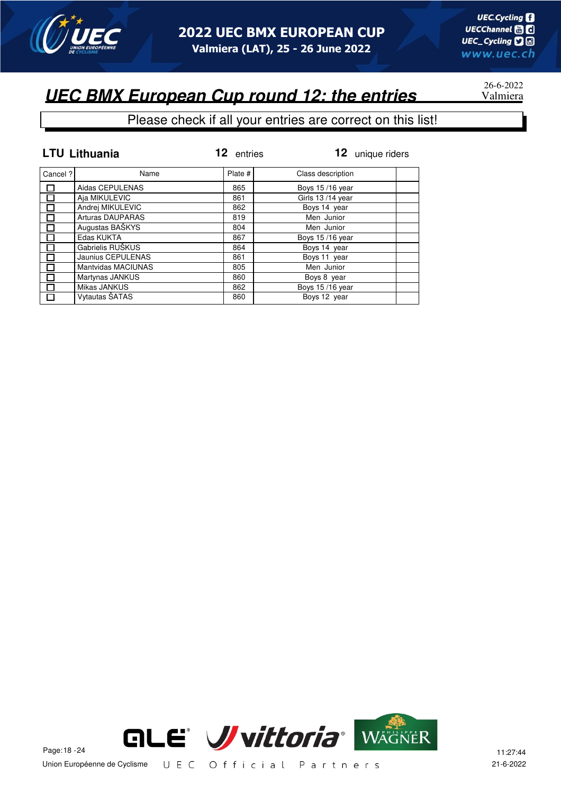

# 26-6-2022

#### Please check if all your entries are correct on this list!

|          | <b>LTU Lithuania</b>      | 12<br>entries | 12 unique riders  |
|----------|---------------------------|---------------|-------------------|
| Cancel ? | Name                      | Plate #       | Class description |
|          | Aidas CEPULENAS           | 865           | Boys 15/16 year   |
| П        | Aja MIKULEVIC             | 861           | Girls 13/14 year  |
|          | Andrej MIKULEVIC          | 862           | Boys 14 year      |
|          | <b>Arturas DAUPARAS</b>   | 819           | Men Junior        |
| Π        | Augustas BAŠKYS           | 804           | Men Junior        |
|          | Edas KUKTA                | 867           | Boys 15/16 year   |
|          | Gabrielis RUŠKUS          | 864           | Boys 14 year      |
|          | Jaunius CEPULENAS         | 861           | Boys 11 year      |
|          | <b>Mantvidas MACIUNAS</b> | 805           | Men Junior        |
| П        | Martynas JANKUS           | 860           | Boys 8 year       |
|          | Mikas JANKUS              | 862           | Boys 15/16 year   |
| $\Box$   | Vytautas ŠATAS            | 860           | Boys 12 year      |

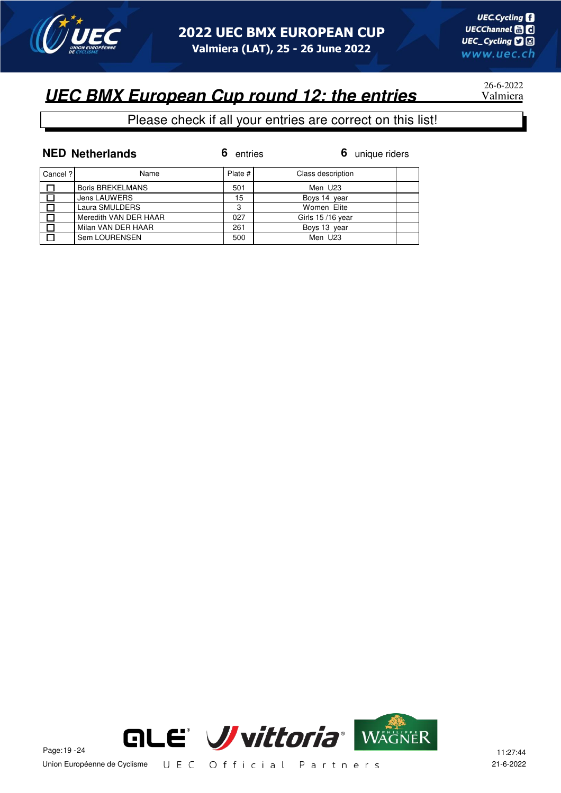

26-6-2022

#### Please check if all your entries are correct on this list!

|         | <b>NED Netherlands</b>  | entries | 6 unique riders   |
|---------|-------------------------|---------|-------------------|
| Cancel? | Name                    | Plate # | Class description |
|         | <b>Boris BREKELMANS</b> | 501     | Men U23           |
|         | <b>Jens LAUWERS</b>     | 15      | Boys 14 year      |
|         | Laura SMULDERS          | 3       | Women Elite       |
|         | Meredith VAN DER HAAR   | 027     | Girls 15/16 year  |
|         | Milan VAN DER HAAR      | 261     | Boys 13 year      |
|         | Sem LOURENSEN           | 500     | Men U23           |

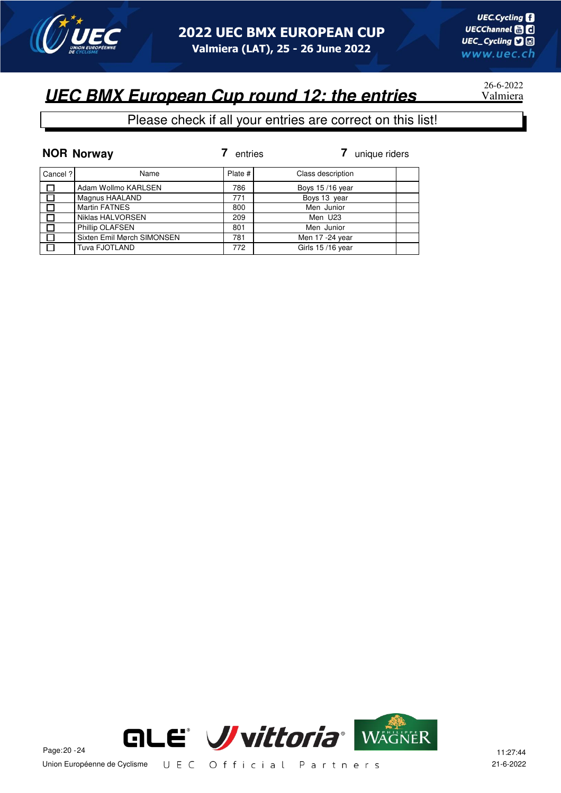

# 26-6-2022

#### Please check if all your entries are correct on this list!

|          | <b>NOR Norway</b>          | entries | unique riders     |
|----------|----------------------------|---------|-------------------|
| Cancel ? | Name                       | Plate # | Class description |
| П        | Adam Wollmo KARLSEN        | 786     | Boys 15/16 year   |
|          | Magnus HAALAND             | 771     | Boys 13 year      |
|          | <b>Martin FATNES</b>       | 800     | Men Junior        |
|          | Niklas HALVORSEN           | 209     | Men U23           |
|          | Phillip OLAFSEN            | 801     | Men Junior        |
|          | Sixten Emil Mørch SIMONSEN | 781     | Men 17 -24 year   |
|          | Tuva FJOTLAND              | 772     | Girls 15/16 year  |

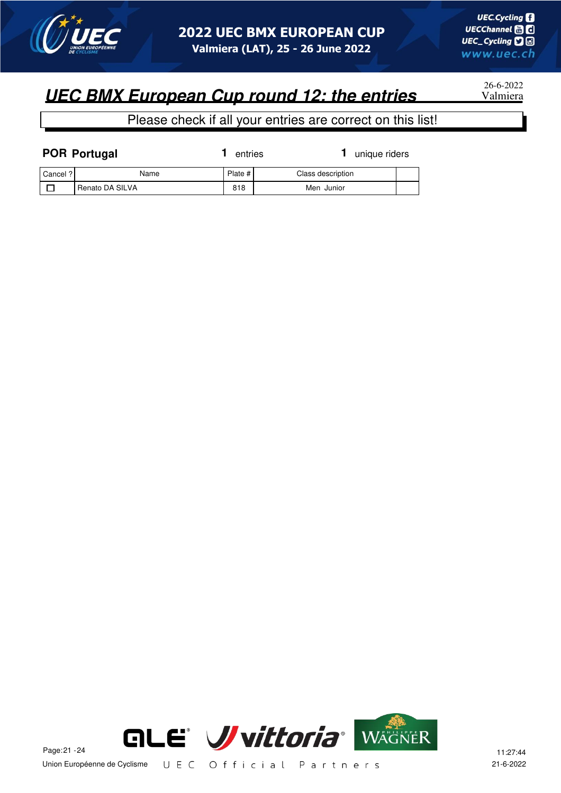

26-6-2022

| <b>POR Portugal</b> |                 | entries | unique riders     |  |
|---------------------|-----------------|---------|-------------------|--|
| Cancel ?            | Name            | Plate # | Class description |  |
|                     | Renato DA SILVA | 818     | Men Junior        |  |

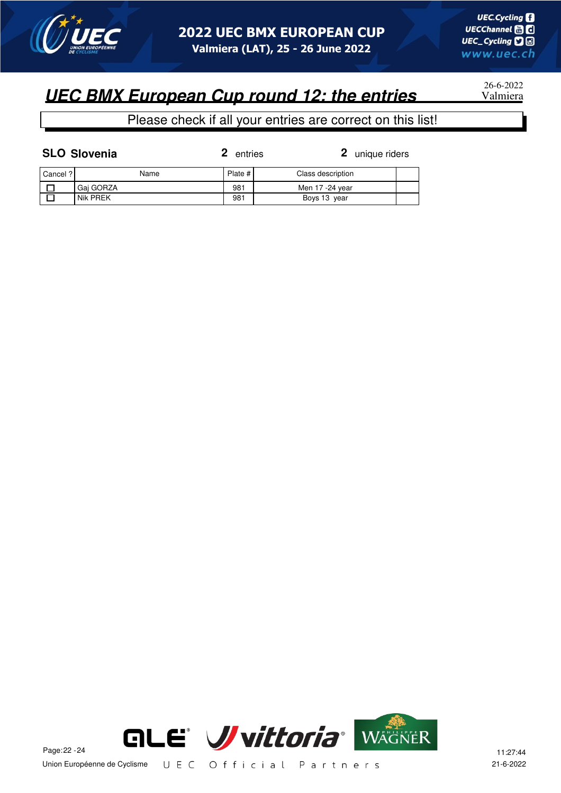

26-6-2022

#### Please check if all your entries are correct on this list!

| <b>SLO Slovenia</b> |  |
|---------------------|--|
|                     |  |

**2** entries

**2** unique riders

| Cancel ? | Name      | Plate # | Class description |  |
|----------|-----------|---------|-------------------|--|
|          | Gai GORZA | 981     | Men 17 -24 vear   |  |
|          | Nik PREK  | 981     | Boys 13 year      |  |

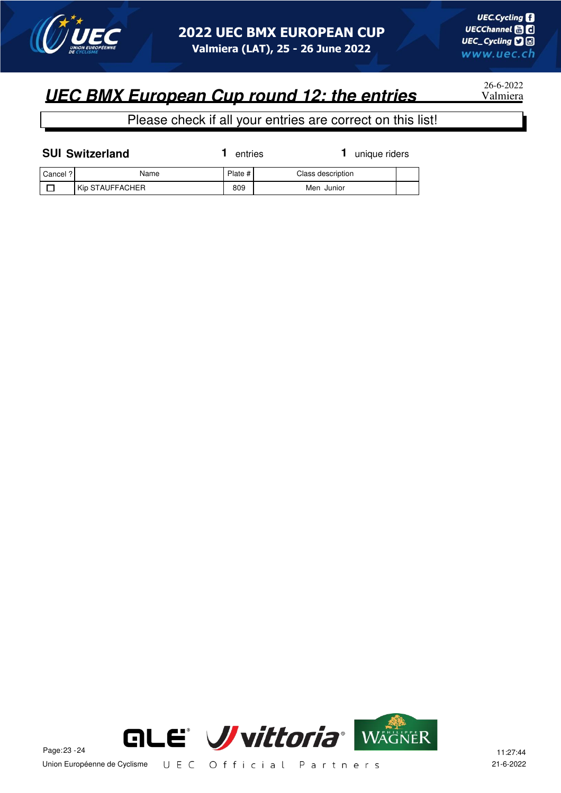

26-6-2022

| <b>SUI Switzerland</b> |                 | entries | unique riders     |  |
|------------------------|-----------------|---------|-------------------|--|
| Cancel ?               | Name            | Plate # | Class description |  |
|                        | Kip STAUFFACHER | 809     | Men Junior        |  |